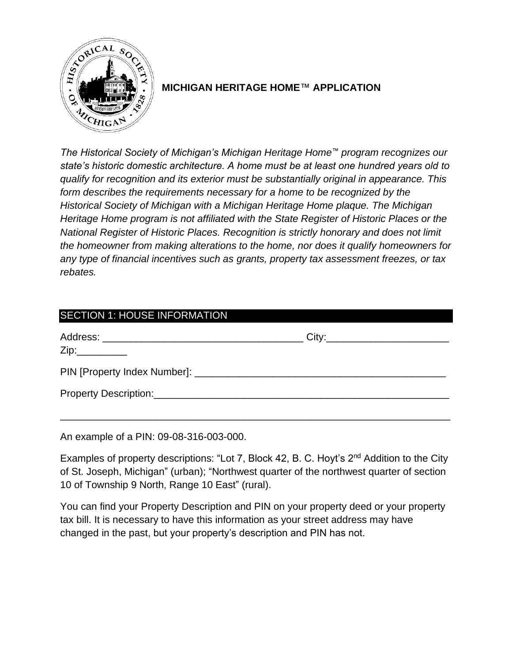

# **MICHIGAN HERITAGE HOME**™ **APPLICATION**

*The Historical Society of Michigan's Michigan Heritage Home™ program recognizes our state's historic domestic architecture. A home must be at least one hundred years old to qualify for recognition and its exterior must be substantially original in appearance. This form describes the requirements necessary for a home to be recognized by the Historical Society of Michigan with a Michigan Heritage Home plaque. The Michigan Heritage Home program is not affiliated with the State Register of Historic Places or the National Register of Historic Places. Recognition is strictly honorary and does not limit the homeowner from making alterations to the home, nor does it qualify homeowners for any type of financial incentives such as grants, property tax assessment freezes, or tax rebates.*

| <b>SECTION 1: HOUSE INFORMATION</b>                                                                                                                                                                                            |  |
|--------------------------------------------------------------------------------------------------------------------------------------------------------------------------------------------------------------------------------|--|
|                                                                                                                                                                                                                                |  |
|                                                                                                                                                                                                                                |  |
| Property Description: Management of the Contract of the Contract of the Contract of the Contract of the Contract of the Contract of the Contract of the Contract of the Contract of the Contract of the Contract of the Contra |  |

An example of a PIN: 09-08-316-003-000.

Examples of property descriptions: "Lot 7, Block 42, B. C. Hoyt's 2nd Addition to the City of St. Joseph, Michigan" (urban); "Northwest quarter of the northwest quarter of section 10 of Township 9 North, Range 10 East" (rural).

You can find your Property Description and PIN on your property deed or your property tax bill. It is necessary to have this information as your street address may have changed in the past, but your property's description and PIN has not.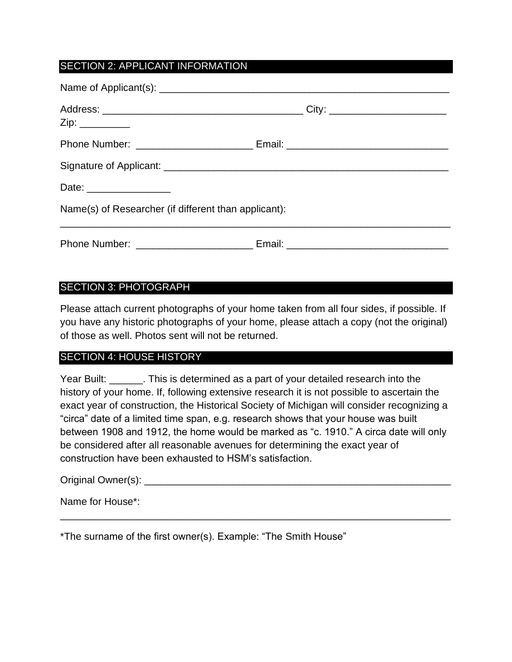# SECTION 2: APPLICANT INFORMATION

| Date: __________________                             |  |
|------------------------------------------------------|--|
| Name(s) of Researcher (if different than applicant): |  |
|                                                      |  |

### SECTION 3: PHOTOGRAPH

Please attach current photographs of your home taken from all four sides, if possible. If you have any historic photographs of your home, please attach a copy (not the original) of those as well. Photos sent will not be returned.

#### SECTION 4: HOUSE HISTORY

Year Built: \_\_\_\_\_\_. This is determined as a part of your detailed research into the history of your home. If, following extensive research it is not possible to ascertain the exact year of construction, the Historical Society of Michigan will consider recognizing a "circa" date of a limited time span, e.g. research shows that your house was built between 1908 and 1912, the home would be marked as "c. 1910." A circa date will only be considered after all reasonable avenues for determining the exact year of construction have been exhausted to HSM's satisfaction.

\_\_\_\_\_\_\_\_\_\_\_\_\_\_\_\_\_\_\_\_\_\_\_\_\_\_\_\_\_\_\_\_\_\_\_\_\_\_\_\_\_\_\_\_\_\_\_\_\_\_\_\_\_\_\_\_\_\_\_\_\_\_\_\_\_\_\_\_\_\_

Original Owner(s): **Example 20** and  $\alpha$  and  $\alpha$  and  $\alpha$  and  $\alpha$  and  $\alpha$  and  $\alpha$  and  $\alpha$  and  $\alpha$  and  $\alpha$  and  $\alpha$  and  $\alpha$  and  $\alpha$  and  $\alpha$  and  $\alpha$  and  $\alpha$  and  $\alpha$  and  $\alpha$  and  $\alpha$  and  $\alpha$  and  $\alpha$  and  $\alpha$  a

Name for House\*:

\*The surname of the first owner(s). Example: "The Smith House"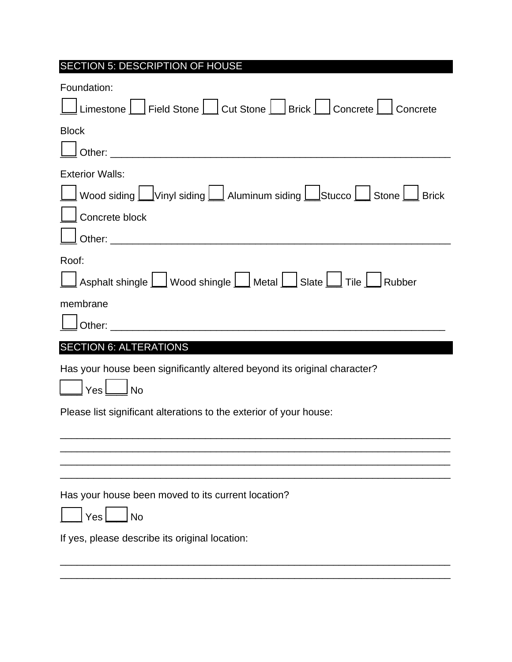| SECTION 5: DESCRIPTION OF HOUSE                                                                                                                                                                                                                                                                                                                       |
|-------------------------------------------------------------------------------------------------------------------------------------------------------------------------------------------------------------------------------------------------------------------------------------------------------------------------------------------------------|
| Foundation:<br>$\_$ Limestone $\boxed{\phantom{a}}$ Field Stone $\boxed{\phantom{a}}$ Cut Stone $\boxed{\phantom{a}}$ Brick $\boxed{\phantom{a}}$ Concrete $\boxed{\phantom{a}}$<br>Concrete                                                                                                                                                          |
| <b>Block</b>                                                                                                                                                                                                                                                                                                                                          |
| <b>Exterior Walls:</b><br>Concrete block                                                                                                                                                                                                                                                                                                              |
| Roof:<br>$\Box$ Asphalt shingle $\Box$ Wood shingle $\Box$ Metal $\Box$ Slate $\Box$ Tile $\Box$ Rubber<br>membrane<br>Other: William Communication of the Communication of the Communication of the Communication of the Communication of the Communication of the Communication of the Communication of the Communication of the Communication of t |
| <b>SECTION 6: ALTERATIONS</b>                                                                                                                                                                                                                                                                                                                         |
| Has your house been significantly altered beyond its original character?<br>l No<br>Yes <sup>1</sup>                                                                                                                                                                                                                                                  |
| Please list significant alterations to the exterior of your house:                                                                                                                                                                                                                                                                                    |
|                                                                                                                                                                                                                                                                                                                                                       |
| Has your house been moved to its current location?<br>Yes<br><b>No</b>                                                                                                                                                                                                                                                                                |
| If yes, please describe its original location:                                                                                                                                                                                                                                                                                                        |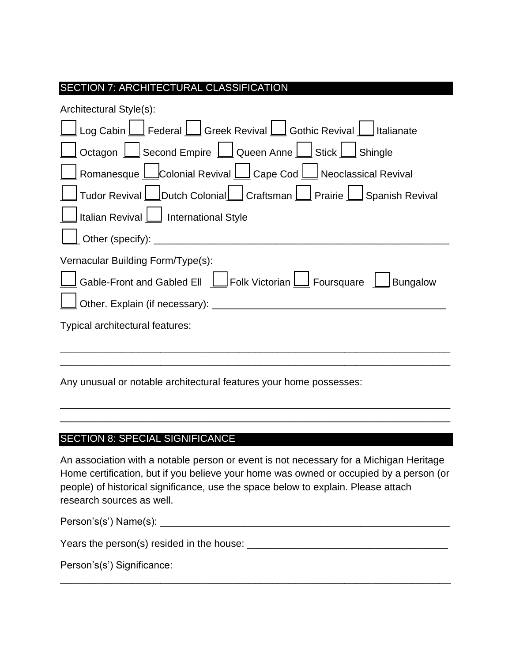# SECTION 7: ARCHITECTURAL CLASSIFICATION

| Architectural Style(s):                                                        |
|--------------------------------------------------------------------------------|
|                                                                                |
| Octagon   Second Empire   Queen Anne   Stick   Shingle                         |
|                                                                                |
|                                                                                |
| Italian Revival   International Style                                          |
|                                                                                |
| Vernacular Building Form/Type(s):                                              |
| <u>l</u> Gable-Front and Gabled Ell LJFolk Victorian LII Foursquare LIBungalow |
| <u>J</u> Other. Explain (if necessary): _____________________________          |
| Typical architectural features:                                                |
|                                                                                |
|                                                                                |

Any unusual or notable architectural features your home possesses:

## SECTION 8: SPECIAL SIGNIFICANCE

An association with a notable person or event is not necessary for a Michigan Heritage Home certification, but if you believe your home was owned or occupied by a person (or people) of historical significance, use the space below to explain. Please attach research sources as well.

\_\_\_\_\_\_\_\_\_\_\_\_\_\_\_\_\_\_\_\_\_\_\_\_\_\_\_\_\_\_\_\_\_\_\_\_\_\_\_\_\_\_\_\_\_\_\_\_\_\_\_\_\_\_\_\_\_\_\_\_\_\_\_\_\_\_\_\_\_\_ \_\_\_\_\_\_\_\_\_\_\_\_\_\_\_\_\_\_\_\_\_\_\_\_\_\_\_\_\_\_\_\_\_\_\_\_\_\_\_\_\_\_\_\_\_\_\_\_\_\_\_\_\_\_\_\_\_\_\_\_\_\_\_\_\_\_\_\_\_\_

| Person's(s') Name(s): |  |
|-----------------------|--|
|-----------------------|--|

\_\_\_\_\_\_\_\_\_\_\_\_\_\_\_\_\_\_\_\_\_\_\_\_\_\_\_\_\_\_\_\_\_\_\_\_\_\_\_\_\_\_\_\_\_\_\_\_\_\_\_\_\_\_\_\_\_\_\_\_\_\_\_\_\_\_\_\_\_\_

Years the person(s) resided in the house: \_\_\_\_\_\_\_\_\_\_\_\_\_\_\_\_\_\_\_\_\_\_\_\_\_\_\_\_\_\_\_\_\_\_\_\_

Person's(s') Significance: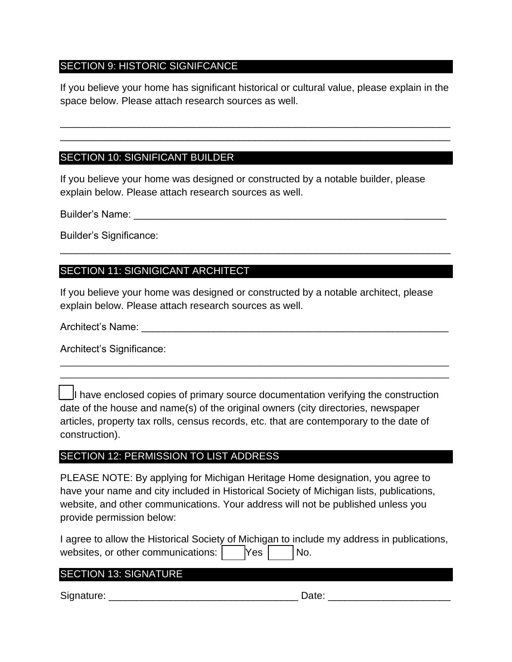### SECTION 9: HISTORIC SIGNIFCANCE

If you believe your home has significant historical or cultural value, please explain in the space below. Please attach research sources as well.

\_\_\_\_\_\_\_\_\_\_\_\_\_\_\_\_\_\_\_\_\_\_\_\_\_\_\_\_\_\_\_\_\_\_\_\_\_\_\_\_\_\_\_\_\_\_\_\_\_\_\_\_\_\_\_\_\_\_\_\_\_\_\_\_\_\_\_\_\_\_ \_\_\_\_\_\_\_\_\_\_\_\_\_\_\_\_\_\_\_\_\_\_\_\_\_\_\_\_\_\_\_\_\_\_\_\_\_\_\_\_\_\_\_\_\_\_\_\_\_\_\_\_\_\_\_\_\_\_\_\_\_\_\_\_\_\_\_\_\_\_

### SECTION 10: SIGNIFICANT BUILDER

If you believe your home was designed or constructed by a notable builder, please explain below. Please attach research sources as well.

Builder's Name: **Example 19** and 20 and 20 and 20 and 20 and 20 and 20 and 20 and 20 and 20 and 20 and 20 and 20 and 20 and 20 and 20 and 20 and 20 and 20 and 20 and 20 and 20 and 20 and 20 and 20 and 20 and 20 and 20 and

Builder's Significance:

### SECTION 11: SIGNIGICANT ARCHITECT

If you believe your home was designed or constructed by a notable architect, please explain below. Please attach research sources as well.

\_\_\_\_\_\_\_\_\_\_\_\_\_\_\_\_\_\_\_\_\_\_\_\_\_\_\_\_\_\_\_\_\_\_\_\_\_\_\_\_\_\_\_\_\_\_\_\_\_\_\_\_\_\_\_\_\_\_\_\_\_\_\_\_\_\_\_\_\_\_

Architect's Name: **And Architect's** Name:

Architect's Significance:

I have enclosed copies of primary source documentation verifying the construction date of the house and name(s) of the original owners (city directories, newspaper articles, property tax rolls, census records, etc. that are contemporary to the date of construction).

\_\_\_\_\_\_\_\_\_\_\_\_\_\_\_\_\_\_\_\_\_\_\_\_\_\_\_\_\_\_\_\_\_\_\_\_\_\_\_\_\_\_\_\_\_\_\_\_\_\_\_\_\_\_\_\_\_\_\_\_\_\_\_\_\_\_\_\_\_\_\_\_\_\_\_\_ \_\_\_\_\_\_\_\_\_\_\_\_\_\_\_\_\_\_\_\_\_\_\_\_\_\_\_\_\_\_\_\_\_\_\_\_\_\_\_\_\_\_\_\_\_\_\_\_\_\_\_\_\_\_\_\_\_\_\_\_\_\_\_\_\_\_\_\_\_\_\_\_\_\_\_\_

#### SECTION 12: PERMISSION TO LIST ADDRESS

PLEASE NOTE: By applying for Michigan Heritage Home designation, you agree to have your name and city included in Historical Society of Michigan lists, publications, website, and other communications. Your address will not be published unless you provide permission below:

| I agree to allow the Historical Society of Michigan to include my address in publications, |                  |      |  |
|--------------------------------------------------------------------------------------------|------------------|------|--|
| websites, or other communications:                                                         | Yes <sub>l</sub> | INo. |  |

### SECTION 13: SIGNATURE

Signature: \_\_\_\_\_\_\_\_\_\_\_\_\_\_\_\_\_\_\_\_\_\_\_\_\_\_\_\_\_\_\_\_\_\_ Date: \_\_\_\_\_\_\_\_\_\_\_\_\_\_\_\_\_\_\_\_\_\_